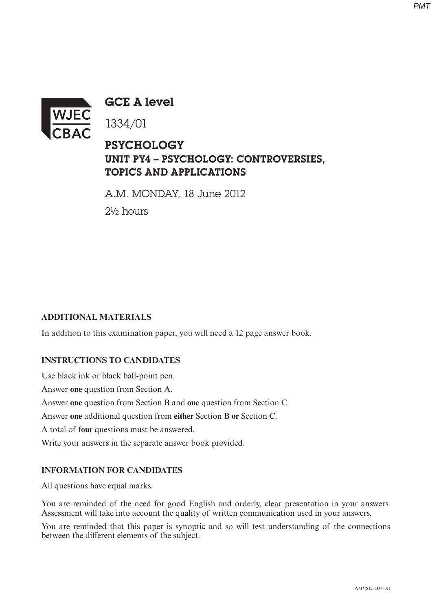

**GCE A level** 

1334/01

# PSYCHOLOGY UNIT PY4 - PSYCHOLOGY: CONTROVERSIES, TOPICS AND APPLICATIONS

A.M. MONDAY, 18 June 2012 2½ hours

# **ADDITIONAL MATERIALS**

In addition to this examination paper, you will need a 12 page answer book.

#### **INSTRUCTIONS TO CANDIDATES**

Use black ink or black ball-point pen. Answer **one** question from Section A. Answer **one** question from Section B and **one** question from Section C. Answer **one** additional question from **either** Section B **or** Section C. A total of **four** questions must be answered. Write your answers in the separate answer book provided.

#### **INFORMATION FOR CANDIDATES**

All questions have equal marks.

You are reminded of the need for good English and orderly, clear presentation in your answers. Assessment will take into account the quality of written communication used in your answers.

You are reminded that this paper is synoptic and so will test understanding of the connections between the diferent elements of the subject.